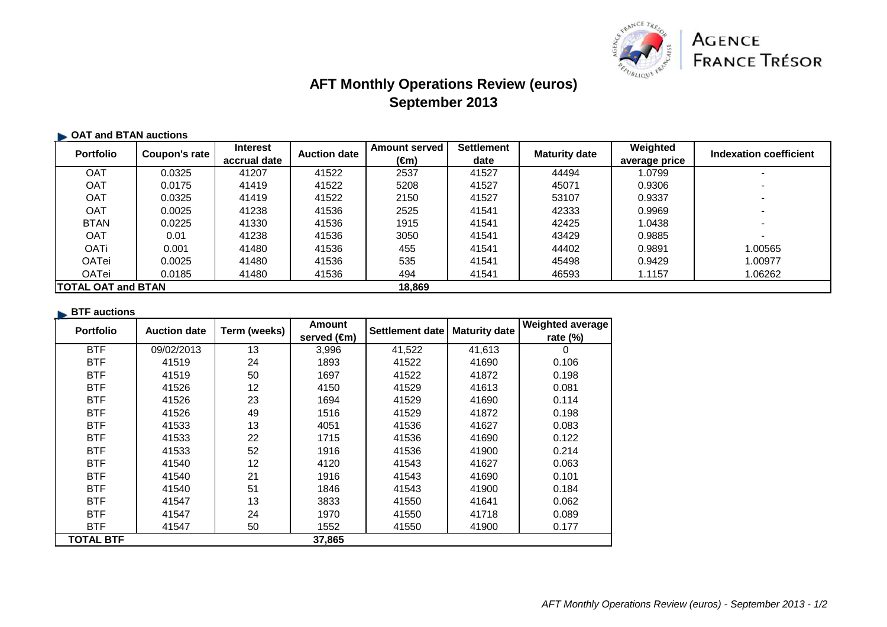

# **AFT Monthly Operations Review (euros)September 2013**

### **OAT and BTAN auctions**

| <b>Portfolio</b>           | Coupon's rate | <b>Interest</b> | <b>Auction date</b> | <b>Amount served</b> | <b>Settlement</b> | <b>Maturity date</b> | Weighted      | Indexation coefficient |
|----------------------------|---------------|-----------------|---------------------|----------------------|-------------------|----------------------|---------------|------------------------|
|                            |               | accrual date    |                     | (€m)                 | date              |                      | average price |                        |
| <b>OAT</b>                 | 0.0325        | 41207           | 41522               | 2537                 | 41527             | 44494                | 1.0799        |                        |
| <b>OAT</b>                 | 0.0175        | 41419           | 41522               | 5208                 | 41527             | 45071                | 0.9306        |                        |
| <b>OAT</b>                 | 0.0325        | 41419           | 41522               | 2150                 | 41527             | 53107                | 0.9337        |                        |
| <b>OAT</b>                 | 0.0025        | 41238           | 41536               | 2525                 | 41541             | 42333                | 0.9969        |                        |
| <b>BTAN</b>                | 0.0225        | 41330           | 41536               | 1915                 | 41541             | 42425                | 1.0438        |                        |
| <b>OAT</b>                 | 0.01          | 41238           | 41536               | 3050                 | 41541             | 43429                | 0.9885        |                        |
| <b>OATi</b>                | 0.001         | 41480           | 41536               | 455                  | 41541             | 44402                | 0.9891        | 1.00565                |
| OATei                      | 0.0025        | 41480           | 41536               | 535                  | 41541             | 45498                | 0.9429        | 1.00977                |
| <b>OATei</b>               | 0.0185        | 41480           | 41536               | 494                  | 41541             | 46593                | 1.1157        | 1.06262                |
| <b>ITOTAL OAT and BTAN</b> |               |                 |                     | 18,869               |                   |                      |               |                        |

#### **BTF** auctions

| <b>Portfolio</b> | <b>Auction date</b> | Term (weeks) | <b>Amount</b> | Settlement date | <b>Maturity date</b> | <b>Weighted average</b> |
|------------------|---------------------|--------------|---------------|-----------------|----------------------|-------------------------|
|                  |                     |              | served (€m)   |                 |                      | rate (%)                |
| <b>BTF</b>       | 09/02/2013          | 13           | 3,996         | 41,522          | 41,613               | 0                       |
| <b>BTF</b>       | 41519               | 24           | 1893          | 41522           | 41690                | 0.106                   |
| <b>BTF</b>       | 41519               | 50           | 1697          | 41522           | 41872                | 0.198                   |
| <b>BTF</b>       | 41526               | 12           | 4150          | 41529           | 41613                | 0.081                   |
| <b>BTF</b>       | 41526               | 23           | 1694          | 41529           | 41690                | 0.114                   |
| <b>BTF</b>       | 41526               | 49           | 1516          | 41529           | 41872                | 0.198                   |
| <b>BTF</b>       | 41533               | 13           | 4051          | 41536           | 41627                | 0.083                   |
| <b>BTF</b>       | 41533               | 22           | 1715          | 41536           | 41690                | 0.122                   |
| <b>BTF</b>       | 41533               | 52           | 1916          | 41536           | 41900                | 0.214                   |
| <b>BTF</b>       | 41540               | 12           | 4120          | 41543           | 41627                | 0.063                   |
| <b>BTF</b>       | 41540               | 21           | 1916          | 41543           | 41690                | 0.101                   |
| <b>BTF</b>       | 41540               | 51           | 1846          | 41543           | 41900                | 0.184                   |
| <b>BTF</b>       | 41547               | 13           | 3833          | 41550           | 41641                | 0.062                   |
| <b>BTF</b>       | 41547               | 24           | 1970          | 41550           | 41718                | 0.089                   |
| <b>BTF</b>       | 41547               | 50           | 1552          | 41550           | 41900                | 0.177                   |
| TOTAL BTF        |                     |              | 37,865        |                 |                      |                         |